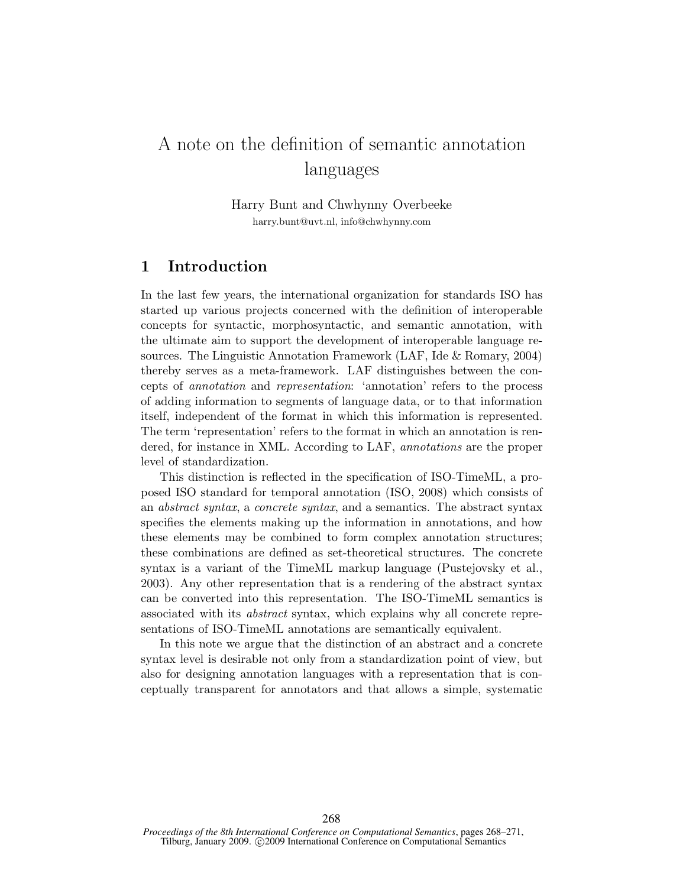## A note on the definition of semantic annotation languages

Harry Bunt and Chwhynny Overbeeke harry.bunt@uvt.nl, info@chwhynny.com

## 1 Introduction

In the last few years, the international organization for standards ISO has started up various projects concerned with the definition of interoperable concepts for syntactic, morphosyntactic, and semantic annotation, with the ultimate aim to support the development of interoperable language resources. The Linguistic Annotation Framework (LAF, Ide & Romary, 2004) thereby serves as a meta-framework. LAF distinguishes between the concepts of annotation and representation: 'annotation' refers to the process of adding information to segments of language data, or to that information itself, independent of the format in which this information is represented. The term 'representation' refers to the format in which an annotation is rendered, for instance in XML. According to LAF, annotations are the proper level of standardization.

This distinction is reflected in the specification of ISO-TimeML, a proposed ISO standard for temporal annotation (ISO, 2008) which consists of an abstract syntax, a concrete syntax, and a semantics. The abstract syntax specifies the elements making up the information in annotations, and how these elements may be combined to form complex annotation structures; these combinations are defined as set-theoretical structures. The concrete syntax is a variant of the TimeML markup language (Pustejovsky et al., 2003). Any other representation that is a rendering of the abstract syntax can be converted into this representation. The ISO-TimeML semantics is associated with its abstract syntax, which explains why all concrete representations of ISO-TimeML annotations are semantically equivalent.

In this note we argue that the distinction of an abstract and a concrete syntax level is desirable not only from a standardization point of view, but also for designing annotation languages with a representation that is conceptually transparent for annotators and that allows a simple, systematic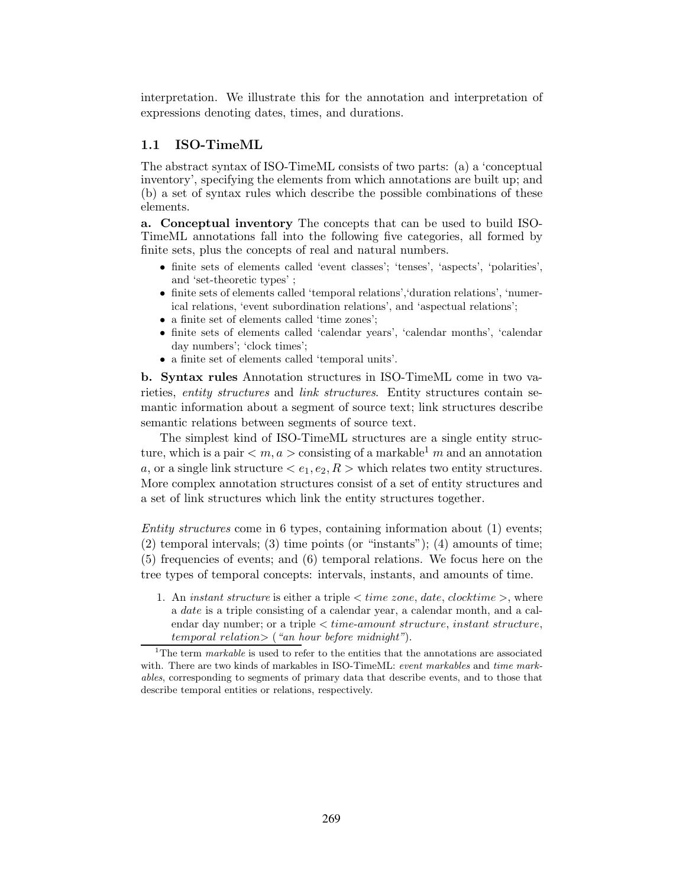interpretation. We illustrate this for the annotation and interpretation of expressions denoting dates, times, and durations.

## 1.1 ISO-TimeML

The abstract syntax of ISO-TimeML consists of two parts: (a) a 'conceptual inventory', specifying the elements from which annotations are built up; and (b) a set of syntax rules which describe the possible combinations of these elements.

a. Conceptual inventory The concepts that can be used to build ISO-TimeML annotations fall into the following five categories, all formed by finite sets, plus the concepts of real and natural numbers.

- finite sets of elements called 'event classes'; 'tenses', 'aspects', 'polarities', and 'set-theoretic types' ;
- finite sets of elements called 'temporal relations','duration relations', 'numerical relations, 'event subordination relations', and 'aspectual relations';
- a finite set of elements called 'time zones';
- finite sets of elements called 'calendar years', 'calendar months', 'calendar day numbers'; 'clock times';
- a finite set of elements called 'temporal units'.

b. Syntax rules Annotation structures in ISO-TimeML come in two varieties, entity structures and link structures. Entity structures contain semantic information about a segment of source text; link structures describe semantic relations between segments of source text.

The simplest kind of ISO-TimeML structures are a single entity structure, which is a pair  $\langle m, a \rangle$  consisting of a markable<sup>1</sup> m and an annotation a, or a single link structure  $\langle e_1, e_2, R \rangle$  which relates two entity structures. More complex annotation structures consist of a set of entity structures and a set of link structures which link the entity structures together.

Entity structures come in 6 types, containing information about (1) events; (2) temporal intervals; (3) time points (or "instants"); (4) amounts of time; (5) frequencies of events; and (6) temporal relations. We focus here on the tree types of temporal concepts: intervals, instants, and amounts of time.

1. An *instant structure* is either a triple  $\lt$  *time zone, date, clocktime*  $\gt$ , where a date is a triple consisting of a calendar year, a calendar month, and a calendar day number; or a triple  $\lt$  *time-amount structure, instant structure,*  $temporal$  relation $\geq$  ("an hour before midnight").

<sup>&</sup>lt;sup>1</sup>The term *markable* is used to refer to the entities that the annotations are associated with. There are two kinds of markables in ISO-TimeML: event markables and time markables, corresponding to segments of primary data that describe events, and to those that describe temporal entities or relations, respectively.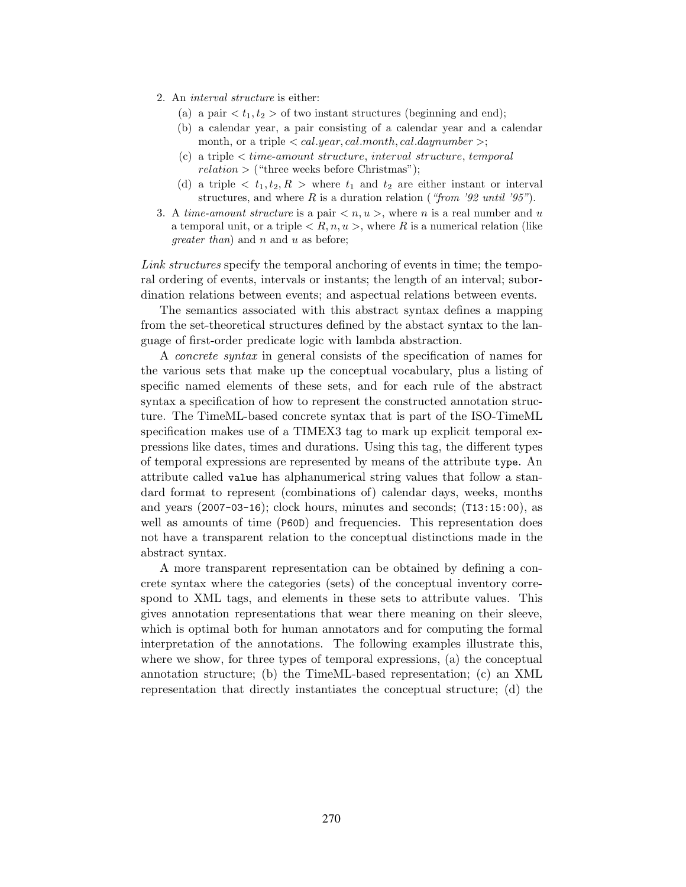- 2. An interval structure is either:
	- (a) a pair  $\langle t_1, t_2 \rangle$  of two instant structures (beginning and end);
	- (b) a calendar year, a pair consisting of a calendar year and a calendar month, or a triple  $\langle cal.year, cal.month, cal.daynumber \rangle$ ;
	- (c) a triple < time-amount structure, interval structure, temporal  $relation$  > ("three weeks before Christmas");
	- (d) a triple  $\langle t_1, t_2, R \rangle$  where  $t_1$  and  $t_2$  are either instant or interval structures, and where  $R$  is a duration relation ("from '92 until '95").
- 3. A time-amount structure is a pair  $\langle n, u \rangle$ , where n is a real number and u a temporal unit, or a triple  $\langle R, n, u \rangle$ , where R is a numerical relation (like *greater than*) and  $n$  and  $u$  as before;

Link structures specify the temporal anchoring of events in time; the temporal ordering of events, intervals or instants; the length of an interval; subordination relations between events; and aspectual relations between events.

The semantics associated with this abstract syntax defines a mapping from the set-theoretical structures defined by the abstact syntax to the language of first-order predicate logic with lambda abstraction.

A concrete syntax in general consists of the specification of names for the various sets that make up the conceptual vocabulary, plus a listing of specific named elements of these sets, and for each rule of the abstract syntax a specification of how to represent the constructed annotation structure. The TimeML-based concrete syntax that is part of the ISO-TimeML specification makes use of a TIMEX3 tag to mark up explicit temporal expressions like dates, times and durations. Using this tag, the different types of temporal expressions are represented by means of the attribute type. An attribute called value has alphanumerical string values that follow a standard format to represent (combinations of) calendar days, weeks, months and years (2007-03-16); clock hours, minutes and seconds; (T13:15:00), as well as amounts of time (P60D) and frequencies. This representation does not have a transparent relation to the conceptual distinctions made in the abstract syntax.

A more transparent representation can be obtained by defining a concrete syntax where the categories (sets) of the conceptual inventory correspond to XML tags, and elements in these sets to attribute values. This gives annotation representations that wear there meaning on their sleeve, which is optimal both for human annotators and for computing the formal interpretation of the annotations. The following examples illustrate this, where we show, for three types of temporal expressions, (a) the conceptual annotation structure; (b) the TimeML-based representation; (c) an XML representation that directly instantiates the conceptual structure; (d) the